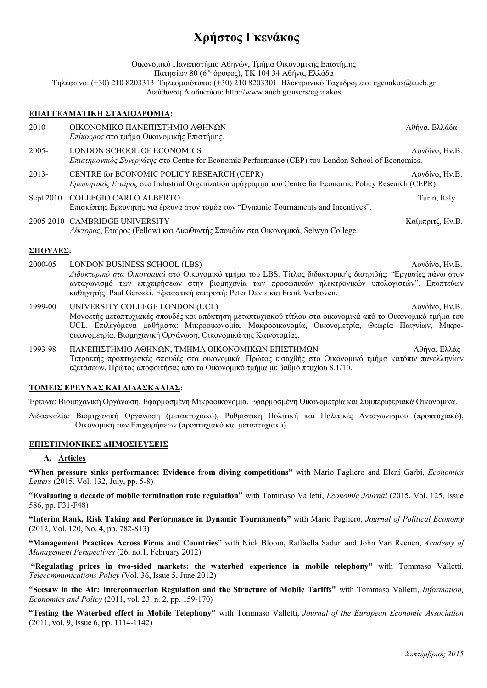# **Χρήστος Γκενάκος**

|           | Οικονομικό Πανεπιστήμιο Αθηνών, Τμήμα Οικονομικής Επιστήμης<br>Πατησίων 80 (6 <sup>ος</sup> όροφος), ΤΚ 104 34 Αθήνα, Ελλάδα<br>Τηλέφωνο: (+30) 210 8203313 Τηλεομοιότυπο: (+30) 210 8203301 Ηλεκτρονικό Ταχυδρομείο: cgenakos@aueb.gr<br>Διεύθυνση Διαδικτύου: http://www.aueb.gr/users/cgenakos                                                  |                  |
|-----------|----------------------------------------------------------------------------------------------------------------------------------------------------------------------------------------------------------------------------------------------------------------------------------------------------------------------------------------------------|------------------|
|           | ΕΠΑΓΓΕΛΜΑΤΙΚΗ ΣΤΑΔΙΟΔΡΟΜΙΑ:                                                                                                                                                                                                                                                                                                                        |                  |
| $2010-$   | ΟΙΚΟΝΟΜΙΚΟ ΠΑΝΕΠΙΣΤΗΜΙΟ ΑΘΗΝΩΝ<br>Επίκουρος στο τμήμα Οικονομικής Επιστήμης.                                                                                                                                                                                                                                                                       | Αθήνα, Ελλάδα    |
| $2005 -$  | LONDON SCHOOL OF ECONOMICS<br>Επιστημονικός Συνεργάτης στο Centre for Economic Performance (CEP) του London School of Economics.                                                                                                                                                                                                                   | Λονδίνο, Ην.Β.   |
| $2013 -$  | CENTRE for ECONOMIC POLICY RESEARCH (CEPR)<br>Ερευνητικός Εταίρος στο Industrial Organization πρόγραμμα του Centre for Economic Policy Research (CEPR).                                                                                                                                                                                            | Λονδίνο, Ην.Β.   |
| Sept 2010 | COLLEGIO CARLO ALBERTO<br>Επισκέπτης Ερευνητής για έρευνα στον τομέα των "Dynamic Tournaments and Incentives".                                                                                                                                                                                                                                     | Turin, Italy     |
|           | 2005-2010 CAMBRIDGE UNIVERSITY<br>Λέκτορας, Εταίρος (Fellow) και Διευθυντής Σπουδών στα Οικονομικά, Selwyn College.                                                                                                                                                                                                                                | Καίμπριτζ, Ην.Β. |
| ΣΠΟΥΔΕΣ:  |                                                                                                                                                                                                                                                                                                                                                    |                  |
| 2000-05   | LONDON BUSINESS SCHOOL (LBS)<br>Λονδίνο, Ην.Β.<br>Διδακτορικό στα Οικονομικά στο Οικονομικό τμήμα του LBS. Τίτλος διδακτορικής διατριβής: "Εργασίες πάνω στον<br>ανταγωνισμό των επιχειρήσεων στην βιομηχανία των προσωπικών ηλεκτρονικών υπολογιστών". Εποπτεύων<br>καθηγητής: Paul Geroski. Εξεταστική επιτροπή: Peter Davis και Frank Verboven. |                  |
| 1999-00   | UNIVERSITY COLLEGE LONDON (UCL)<br>Μονοετής μεταπτυχιακές σπουδές και απόκτηση μεταπτυχιακού τίτλου στα οικονομικά από το Οικονομικό τμήμα του<br>UCL. Επιλεγόμενα μαθήματα: Μικροοικονομία, Μακροοικονομία, Οικονομετρία, Θεωρία Παιγνίων, Μικρο-<br>οικονομετρία, Βιομηχανική Οργάνωση, Οικονομικά της Καινοτομίας.                              | Λονδίνο, Hv.B.   |

1993-98 ΠΑΝΕΠΙΣΤΗΜΙΟ ΑΘΗΝΩΝ, ΤΜΗΜΑ ΟΙΚΟΝΟΜΙΚΩΝ ΕΠΙΣΤΗΜΩΝ Αθήνα, Ελλάς Τετραετής προπτυχιακές σπουδές στα οικονοµικά. Πρώτος εισαχθής στο Οικονοµικό τµήµα κατόπιν πανελληνίων εξετάσεων. Πρώτος αποφοιτήσας από το Οικονοµικό τµήµα µε βαθµό πτυχίου 8.1/10.

# **ΤΟΜΕΙΣ ΕΡΕΥΝΑΣ ΚΑΙ ∆Ι∆ΑΣΚΑΛΙΑΣ:**

Έρευνα: Βιομηχανική Οργάνωση, Εφαρμοσμένη Μικροοικονομία, Εφαρμοσμένη Οικονομετρία και Συμπεριφεριακά Οικονομικά.

∆ιδασκαλία: Βιοµηχανική Οργάνωση (µεταπτυχιακό), Ρυθµιστική Πολιτική και Πολιτικές Ανταγωνισµού (προπτυχιακό), Οικονοµική των Επιχειρήσεων (προπτυχιακό και µεταπτυχιακό).

# **ΕΠΙΣΤΗΜΟΝΙΚΕΣ ∆ΗΜΟΣΙΕΥΣΕΙΣ**

### **A. Articles**

**"When pressure sinks performance: Evidence from diving competitions"** with Mario Pagliero and Eleni Garbi, *Economics Letters* (2015, Vol. 132, July, pp. 5-8)

**"Evaluating a decade of mobile termination rate regulation"** with Tommaso Valletti, *Economic Journal* (2015, Vol. 125, Issue 586, pp. F31-F48)

**"Interim Rank, Risk Taking and Performance in Dynamic Tournaments"** with Mario Pagliero, *Journal of Political Economy*  (2012, Vol. 120, No. 4, pp. 782-813)

**"Management Practices Across Firms and Countries"** with Nick Bloom, Raffaella Sadun and John Van Reenen, *Academy of Management Perspectives* (26, no.1, February 2012)

 **"Regulating prices in two-sided markets: the waterbed experience in mobile telephony"** with Tommaso Valletti, *Telecommunications Policy* (Vol. 36, Issue 5, June 2012)

**"Seesaw in the Air: Interconnection Regulation and the Structure of Mobile Tariffs"** with Tommaso Valletti, *Information, Economics and Policy* (2011, vol. 23, n. 2, pp. 159-170)

**"Testing the Waterbed effect in Mobile Telephony"** with Tommaso Valletti, *Journal of the European Economic Association*  (2011, vol. 9, Issue 6, pp. 1114-1142)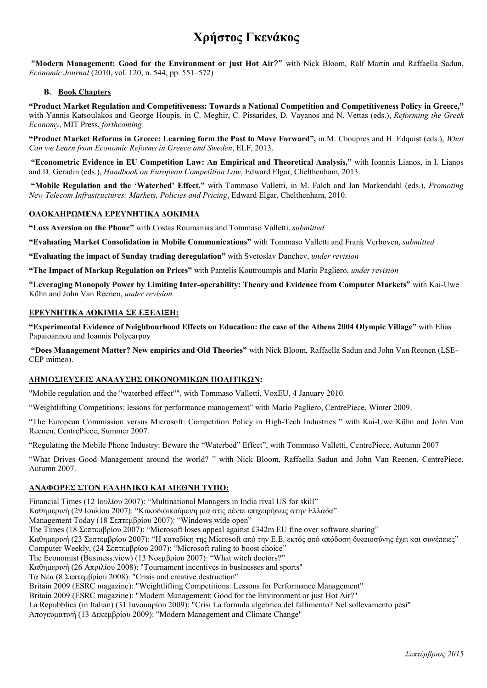# **Χρήστος Γκενάκος**

 **"Modern Management: Good for the Environment or just Hot Air**?**"** with Nick Bloom, Ralf Martin and Raffaella Sadun, *Economic Journal* (2010, vol. 120, n. 544, pp. 551–572)

### **B. Book Chapters**

**"Product Market Regulation and Competitiveness: Towards a National Competition and Competitiveness Policy in Greece,"**  with Yannis Katsoulakos and George Houpis, in C. Meghir, C. Pissarides, D. Vayanos and N. Vettas (eds.), *Reforming the Greek Economy*, MIT Press, *forthcoming*.

**"Product Market Reforms in Greece: Learning form the Past to Move Forward",** in M. Choupres and H. Edquist (eds.), *What Can we Learn from Economic Reforms in Greece and Sweden*, ELF, 2013.

 **"Econometric Evidence in EU Competition Law: An Empirical and Theoretical Analysis,"** with Ioannis Lianos, in I. Lianos and D. Geradin (eds.), *Handbook on European Competition Law*, Edward Elgar, Chelthenham, 2013.

 **"Mobile Regulation and the 'Waterbed' Effect,"** with Tommaso Valletti, in M. Falch and Jan Markendahl (eds.), *Promoting New Telecom Infrastructures: Markets, Policies and Pricing*, Edward Elgar, Chelthenham, 2010.

### **ΟΛΟΚΛΗΡΩΜΕΝΑ ΕΡΕΥΝΗΤΙΚΑ ∆ΟΚΙΜΙΑ**

**"Loss Aversion on the Phone"** with Costas Roumanias and Tommaso Valletti, *submitted*

**"Evaluating Market Consolidation in Mobile Communications"** with Tommaso Valletti and Frank Verboven, *submitted* 

**"Evaluating the impact of Sunday trading deregulation"** with Svetoslav Danchev, *under revision* 

**"The Impact of Markup Regulation on Prices"** with Pantelis Koutroumpis and Mario Pagliero, *under revision* 

**"Leveraging Monopoly Power by Limiting Inter-operability: Theory and Evidence from Computer Markets"** with Kai-Uwe Kühn and John Van Reenen, *under revision.* 

### **ΕΡΕΥΝΗΤΙΚΑ ∆ΟΚΙΜΙΑ ΣΕ ΕΞΕΛΙΞΗ:**

**"Experimental Evidence of Neighbourhood Effects on Education: the case of the Athens 2004 Olympic Village"** with Elias Papaioannou and Ioannis Polycarpoy

 **"Does Management Matter? New empirics and Old Theories"** with Nick Bloom, Raffaella Sadun and John Van Reenen (LSE-CEP mimeo).

# **∆ΗΜΟΣΙΕΥΣΕΙΣ ΑΝΑΛΥΣΗΣ ΟΙΚΟΝΟΜΙΚΩΝ ΠΟΛΙΤΙΚΩΝ:**

"Mobile regulation and the "waterbed effect"", with Tommaso Valletti, VoxEU, 4 January 2010.

"Weightlifting Competitions: lessons for performance management" with Mario Pagliero, CentrePiece, Winter 2009.

"The European Commission versus Microsoft: Competition Policy in High-Tech Industries " with Kai-Uwe Kühn and John Van Reenen, CentrePiece, Summer 2007.

"Regulating the Mobile Phone Industry: Beware the "Waterbed" Effect", with Tommaso Valletti, CentrePiece, Autumn 2007

"What Drives Good Management around the world? " with Nick Bloom, Raffaella Sadun and John Van Reenen, CentrePiece, Autumn 2007.

### **ΑΝΑΦΟΡΕΣ ΣΤΟΝ ΕΛΛΗΝΙΚΟ ΚΑΙ ∆ΙΕΘΝΗ ΤΥΠΟ:**

Financial Times (12 Ιουλίου 2007): "Multinational Managers in India rival US for skill" Καθηµερινή (29 Ιουλίου 2007): "Κακοδιοικούµενη µία στις πέντε επιχειρήσεις στην Ελλάδα" Management Today (18 Σεπτεµβρίου 2007): "Windows wide open" The Times (18 Σεπτεµβρίου 2007): "Microsoft loses appeal against £342m EU fine over software sharing" Καθηµερινή (23 Σεπτεµβρίου 2007): "Η καταδίκη της Microsoft από την Ε.Ε. εκτός από απόδοση δικαιοσύνης έχει και συνέπειες" Computer Weekly, (24 Σεπτεµβρίου 2007): "Microsoft ruling to boost choice" The Economist (Business.view) (13 Νοεµβρίου 2007): "What witch doctors?" Καθηµερινή (26 Απριλίου 2008): "Tournament incentives in businesses and sports" Τα Νέα (8 Σεπτεµβρίου 2008): "Crisis and creative destruction" Britain 2009 (ESRC magazine): "Weightlifting Competitions: Lessons for Performance Management" Britain 2009 (ESRC magazine): "Modern Management: Good for the Environment or just Hot Air?" La Repubblica (in Italian) (31 Ιανουαρίου 2009): "Crisi La formula algebrica del fallimento? Nel sollevamento pesi" Απογευµατινή (13 ∆εκεµβρίου 2009): "Modern Management and Climate Change"